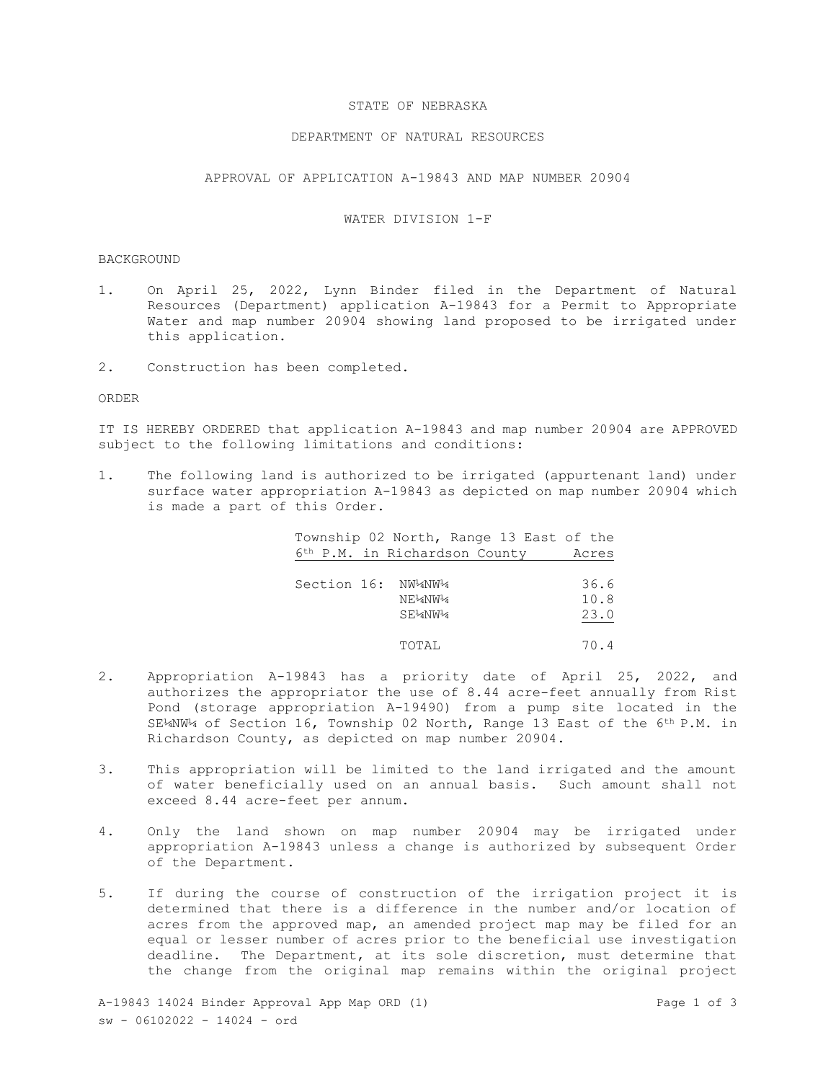### STATE OF NEBRASKA

### DEPARTMENT OF NATURAL RESOURCES

APPROVAL OF APPLICATION A-19843 AND MAP NUMBER 20904

# WATER DIVISION 1-F

### BACKGROUND

- 1. On April 25, 2022, Lynn Binder filed in the Department of Natural Resources (Department) application A-19843 for a Permit to Appropriate Water and map number 20904 showing land proposed to be irrigated under this application.
- 2. Construction has been completed.

#### ORDER

IT IS HEREBY ORDERED that application A-19843 and map number 20904 are APPROVED subject to the following limitations and conditions:

1. The following land is authorized to be irrigated (appurtenant land) under surface water appropriation A-19843 as depicted on map number 20904 which is made a part of this Order.

| Township 02 North, Range 13 East of the<br>6 <sup>th</sup> P.M. in Richardson County | Acres                |
|--------------------------------------------------------------------------------------|----------------------|
| Section 16: NW4NW4<br>NE½NW¼<br>SE14NW14                                             | 36.6<br>10.8<br>23.0 |
| TOTAL                                                                                | 70.4                 |

- 2. Appropriation A-19843 has a priority date of April 25, 2022, and authorizes the appropriator the use of 8.44 acre-feet annually from Rist Pond (storage appropriation A-19490) from a pump site located in the SE¼NW¼ of Section 16, Township 02 North, Range 13 East of the 6th P.M. in Richardson County, as depicted on map number 20904.
- 3. This appropriation will be limited to the land irrigated and the amount of water beneficially used on an annual basis. Such amount shall not exceed 8.44 acre-feet per annum.
- 4. Only the land shown on map number 20904 may be irrigated under appropriation A-19843 unless a change is authorized by subsequent Order of the Department.
- 5. If during the course of construction of the irrigation project it is determined that there is a difference in the number and/or location of acres from the approved map, an amended project map may be filed for an equal or lesser number of acres prior to the beneficial use investigation deadline. The Department, at its sole discretion, must determine that the change from the original map remains within the original project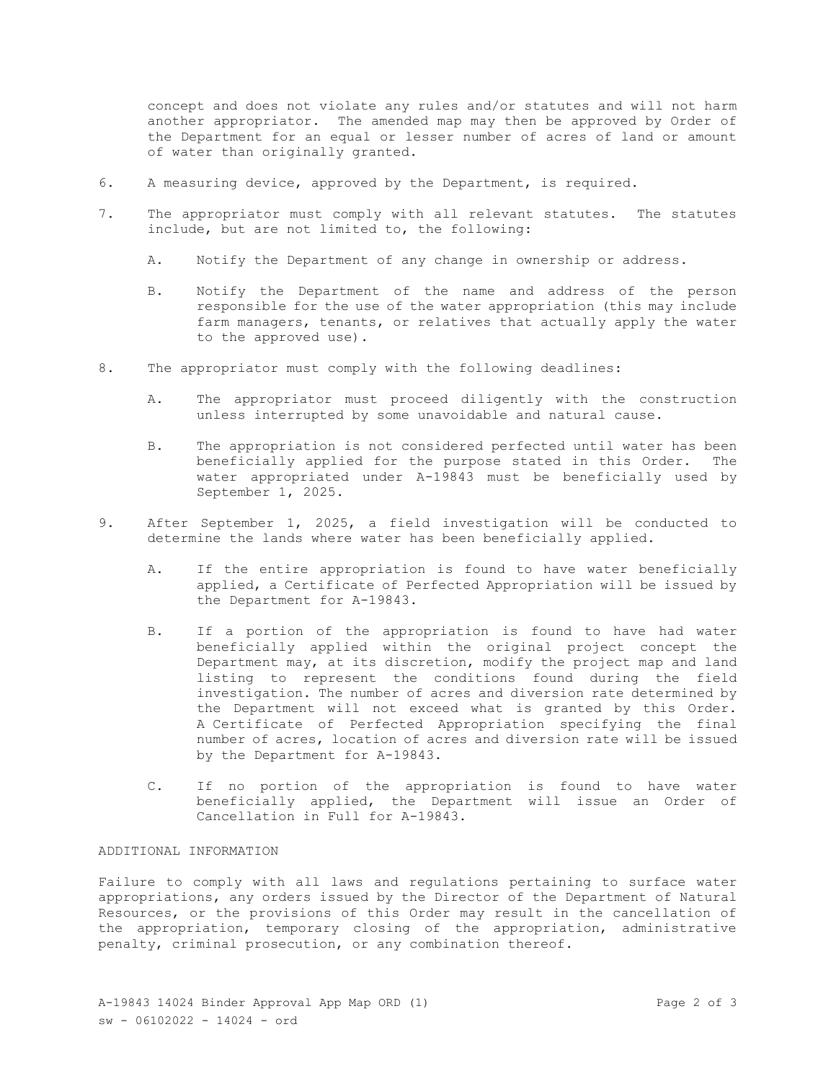concept and does not violate any rules and/or statutes and will not harm another appropriator. The amended map may then be approved by Order of the Department for an equal or lesser number of acres of land or amount of water than originally granted.

- 6. A measuring device, approved by the Department, is required.
- 7. The appropriator must comply with all relevant statutes. The statutes include, but are not limited to, the following:
	- A. Notify the Department of any change in ownership or address.
	- B. Notify the Department of the name and address of the person responsible for the use of the water appropriation (this may include farm managers, tenants, or relatives that actually apply the water to the approved use).
- 8. The appropriator must comply with the following deadlines:
	- A. The appropriator must proceed diligently with the construction unless interrupted by some unavoidable and natural cause.
	- B. The appropriation is not considered perfected until water has been beneficially applied for the purpose stated in this Order. The water appropriated under A-19843 must be beneficially used by September 1, 2025.
- 9. After September 1, 2025, a field investigation will be conducted to determine the lands where water has been beneficially applied.
	- A. If the entire appropriation is found to have water beneficially applied, a Certificate of Perfected Appropriation will be issued by the Department for A-19843.
	- B. If a portion of the appropriation is found to have had water beneficially applied within the original project concept the Department may, at its discretion, modify the project map and land listing to represent the conditions found during the field investigation. The number of acres and diversion rate determined by the Department will not exceed what is granted by this Order. A Certificate of Perfected Appropriation specifying the final number of acres, location of acres and diversion rate will be issued by the Department for A-19843.
	- C. If no portion of the appropriation is found to have water beneficially applied, the Department will issue an Order of Cancellation in Full for A-19843.

# ADDITIONAL INFORMATION

Failure to comply with all laws and regulations pertaining to surface water appropriations, any orders issued by the Director of the Department of Natural Resources, or the provisions of this Order may result in the cancellation of the appropriation, temporary closing of the appropriation, administrative penalty, criminal prosecution, or any combination thereof.